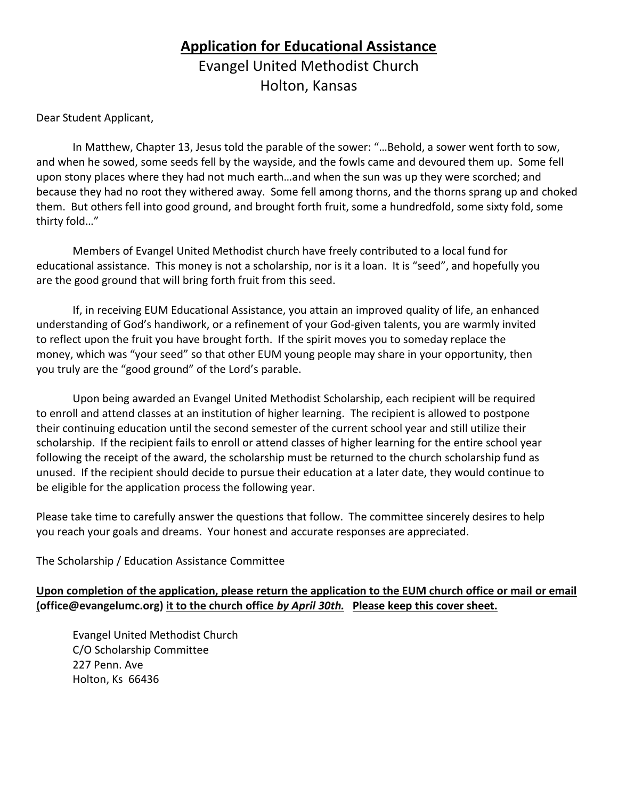# **Application for Educational Assistance** Evangel United Methodist Church Holton, Kansas

Dear Student Applicant,

In Matthew, Chapter 13, Jesus told the parable of the sower: "…Behold, a sower went forth to sow, and when he sowed, some seeds fell by the wayside, and the fowls came and devoured them up. Some fell upon stony places where they had not much earth…and when the sun was up they were scorched; and because they had no root they withered away. Some fell among thorns, and the thorns sprang up and choked them. But others fell into good ground, and brought forth fruit, some a hundredfold, some sixty fold, some thirty fold…"

Members of Evangel United Methodist church have freely contributed to a local fund for educational assistance. This money is not a scholarship, nor is it a loan. It is "seed", and hopefully you are the good ground that will bring forth fruit from this seed.

If, in receiving EUM Educational Assistance, you attain an improved quality of life, an enhanced understanding of God's handiwork, or a refinement of your God-given talents, you are warmly invited to reflect upon the fruit you have brought forth. If the spirit moves you to someday replace the money, which was "your seed" so that other EUM young people may share in your opportunity, then you truly are the "good ground" of the Lord's parable.

Upon being awarded an Evangel United Methodist Scholarship, each recipient will be required to enroll and attend classes at an institution of higher learning. The recipient is allowed to postpone their continuing education until the second semester of the current school year and still utilize their scholarship. If the recipient fails to enroll or attend classes of higher learning for the entire school year following the receipt of the award, the scholarship must be returned to the church scholarship fund as unused. If the recipient should decide to pursue their education at a later date, they would continue to be eligible for the application process the following year.

Please take time to carefully answer the questions that follow. The committee sincerely desires to help you reach your goals and dreams. Your honest and accurate responses are appreciated.

The Scholarship / Education Assistance Committee

#### **Upon completion of the application, please return the application to the EUM church office or mail or email (office@evangelumc.org) it to the church office** *by April 30th.* **Please keep this cover sheet.**

Evangel United Methodist Church C/O Scholarship Committee 227 Penn. Ave Holton, Ks 66436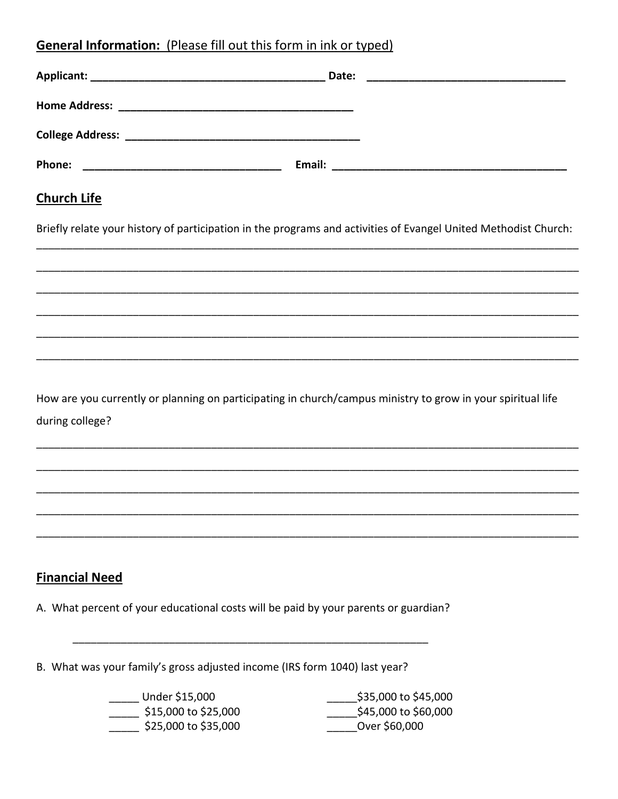## General Information: (Please fill out this form in ink or typed)

| <b>Church Life</b>                                                                                              |  |
|-----------------------------------------------------------------------------------------------------------------|--|
| Briefly relate your history of participation in the programs and activities of Evangel United Methodist Church: |  |
|                                                                                                                 |  |
|                                                                                                                 |  |
|                                                                                                                 |  |

How are you currently or planning on participating in church/campus ministry to grow in your spiritual life during college?

#### **Financial Need**

A. What percent of your educational costs will be paid by your parents or guardian?

B. What was your family's gross adjusted income (IRS form 1040) last year?

\_\_\_\_\_ Under \$15,000  $\frac{1}{2}$ \$15,000 to \$25,000  $\frac{1}{2}$ \$25,000 to \$35,000

\$35,000 to \$45,000 \$45,000 to \$60,000 \_\_\_\_\_\_\_\_\_Over \$60,000